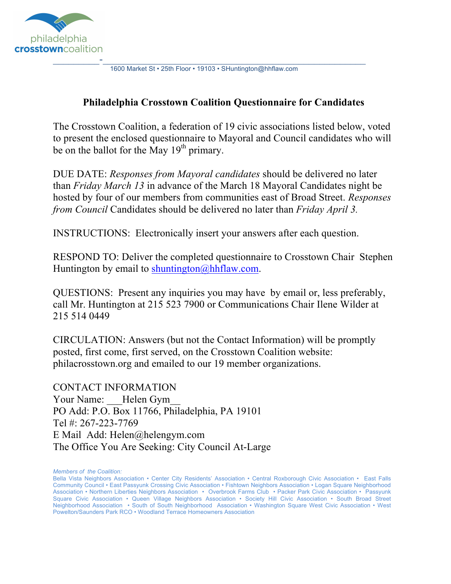

1600 Market St • 25th Floor • 19103 • SHuntington@hhflaw.com

#### **Philadelphia Crosstown Coalition Questionnaire for Candidates**

The Crosstown Coalition, a federation of 19 civic associations listed below, voted to present the enclosed questionnaire to Mayoral and Council candidates who will be on the ballot for the May  $19<sup>th</sup>$  primary.

DUE DATE: *Responses from Mayoral candidates* should be delivered no later than *Friday March 13* in advance of the March 18 Mayoral Candidates night be hosted by four of our members from communities east of Broad Street. *Responses from Council* Candidates should be delivered no later than *Friday April 3.*

INSTRUCTIONS: Electronically insert your answers after each question.

RESPOND TO: Deliver the completed questionnaire to Crosstown Chair Stephen Huntington by email to shuntington@hhflaw.com.

QUESTIONS: Present any inquiries you may have by email or, less preferably, call Mr. Huntington at 215 523 7900 or Communications Chair Ilene Wilder at 215 514 0449

CIRCULATION: Answers (but not the Contact Information) will be promptly posted, first come, first served, on the Crosstown Coalition website: philacrosstown.org and emailed to our 19 member organizations.

CONTACT INFORMATION Your Name: Helen Gym PO Add: P.O. Box 11766, Philadelphia, PA 19101 Tel #: 267-223-7769 E Mail Add: Helen@helengym.com The Office You Are Seeking: City Council At-Large

*Members of the Coalition:*

Bella Vista Neighbors Association • Center City Residents' Association • Central Roxborough Civic Association • East Falls Community Council • East Passyunk Crossing Civic Association • Fishtown Neighbors Association • Logan Square Neighborhood Association • Northern Liberties Neighbors Association • Overbrook Farms Club • Packer Park Civic Association • Passyunk Square Civic Association • Queen Village Neighbors Association • Society Hill Civic Association • South Broad Street Neighborhood Association • South of South Neighborhood Association • Washington Square West Civic Association • West Powelton/Saunders Park RCO • Woodland Terrace Homeowners Association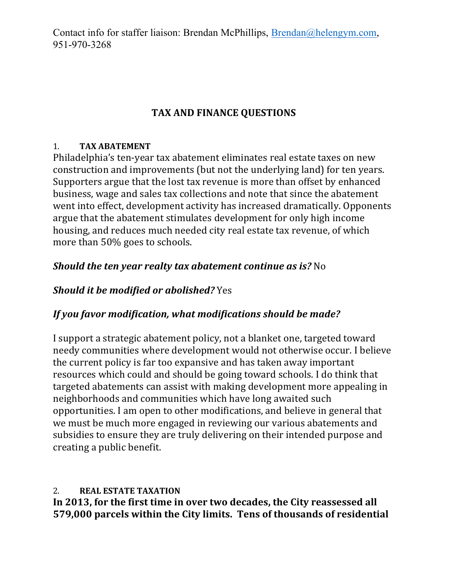Contact info for staffer liaison: Brendan McPhillips, Brendan@helengym.com, 951-970-3268

# **TAX AND FINANCE QUESTIONS**

#### 1. **TAX ABATEMENT**

Philadelphia's ten-year tax abatement eliminates real estate taxes on new construction and improvements (but not the underlying land) for ten years. Supporters argue that the lost tax revenue is more than offset by enhanced business, wage and sales tax collections and note that since the abatement went into effect, development activity has increased dramatically. Opponents argue that the abatement stimulates development for only high income housing, and reduces much needed city real estate tax revenue, of which more than 50% goes to schools.

# *Should the ten year realty tax abatement continue as is?* **No**

# *Should it be modified or abolished?* Yes

# If vou favor modification, what modifications should be made?

I support a strategic abatement policy, not a blanket one, targeted toward needy communities where development would not otherwise occur. I believe the current policy is far too expansive and has taken away important resources which could and should be going toward schools. I do think that targeted abatements can assist with making development more appealing in neighborhoods and communities which have long awaited such opportunities. I am open to other modifications, and believe in general that we must be much more engaged in reviewing our various abatements and subsidies to ensure they are truly delivering on their intended purpose and creating a public benefit.

#### 2. **REAL ESTATE TAXATION**

In 2013, for the first time in over two decades, the City reassessed all **579,000** parcels within the City limits. Tens of thousands of residential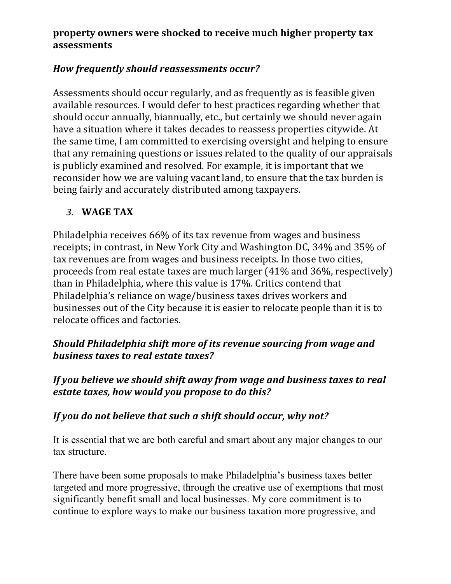#### **property owners were shocked to receive much higher property tax assessments**

## *How frequently should reassessments occur?*

Assessments should occur regularly, and as frequently as is feasible given available resources. I would defer to best practices regarding whether that should occur annually, biannually, etc., but certainly we should never again have a situation where it takes decades to reassess properties citywide. At the same time, I am committed to exercising oversight and helping to ensure that any remaining questions or issues related to the quality of our appraisals is publicly examined and resolved. For example, it is important that we reconsider how we are valuing vacant land, to ensure that the tax burden is being fairly and accurately distributed among taxpayers.

#### 3. **WAGE TAX**

Philadelphia receives 66% of its tax revenue from wages and business receipts; in contrast, in New York City and Washington DC, 34% and 35% of tax revenues are from wages and business receipts. In those two cities, proceeds from real estate taxes are much larger  $(41\%$  and  $36\%$ , respectively) than in Philadelphia, where this value is 17%. Critics contend that Philadelphia's reliance on wage/business taxes drives workers and businesses out of the City because it is easier to relocate people than it is to relocate offices and factories.

# *Should Philadelphia shift more of its revenue sourcing from wage and* **business taxes to real estate taxes?**

#### *If you believe we should shift away from wage and business taxes to real estate taxes, how would you propose to do this?*

#### If you do not believe that such a shift should occur, why not?

It is essential that we are both careful and smart about any major changes to our tax structure.

There have been some proposals to make Philadelphia's business taxes better targeted and more progressive, through the creative use of exemptions that most significantly benefit small and local businesses. My core commitment is to continue to explore ways to make our business taxation more progressive, and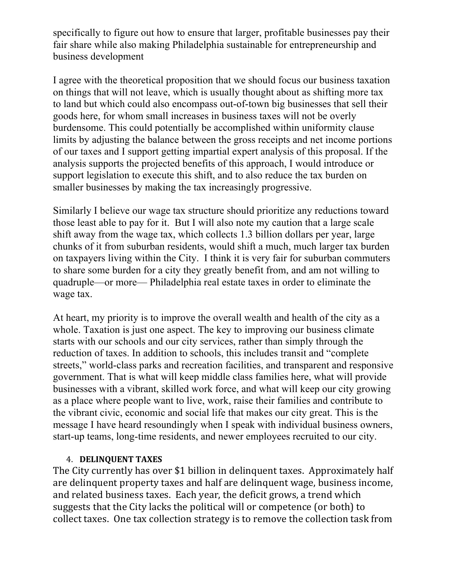specifically to figure out how to ensure that larger, profitable businesses pay their fair share while also making Philadelphia sustainable for entrepreneurship and business development

I agree with the theoretical proposition that we should focus our business taxation on things that will not leave, which is usually thought about as shifting more tax to land but which could also encompass out-of-town big businesses that sell their goods here, for whom small increases in business taxes will not be overly burdensome. This could potentially be accomplished within uniformity clause limits by adjusting the balance between the gross receipts and net income portions of our taxes and I support getting impartial expert analysis of this proposal. If the analysis supports the projected benefits of this approach, I would introduce or support legislation to execute this shift, and to also reduce the tax burden on smaller businesses by making the tax increasingly progressive.

Similarly I believe our wage tax structure should prioritize any reductions toward those least able to pay for it. But I will also note my caution that a large scale shift away from the wage tax, which collects 1.3 billion dollars per year, large chunks of it from suburban residents, would shift a much, much larger tax burden on taxpayers living within the City. I think it is very fair for suburban commuters to share some burden for a city they greatly benefit from, and am not willing to quadruple—or more— Philadelphia real estate taxes in order to eliminate the wage tax.

At heart, my priority is to improve the overall wealth and health of the city as a whole. Taxation is just one aspect. The key to improving our business climate starts with our schools and our city services, rather than simply through the reduction of taxes. In addition to schools, this includes transit and "complete streets," world-class parks and recreation facilities, and transparent and responsive government. That is what will keep middle class families here, what will provide businesses with a vibrant, skilled work force, and what will keep our city growing as a place where people want to live, work, raise their families and contribute to the vibrant civic, economic and social life that makes our city great. This is the message I have heard resoundingly when I speak with individual business owners, start-up teams, long-time residents, and newer employees recruited to our city.

#### 4. **DELINQUENT TAXES**

The City currently has over \$1 billion in delinquent taxes. Approximately half are delinquent property taxes and half are delinquent wage, business income, and related business taxes. Each year, the deficit grows, a trend which suggests that the City lacks the political will or competence (or both) to collect taxes. One tax collection strategy is to remove the collection task from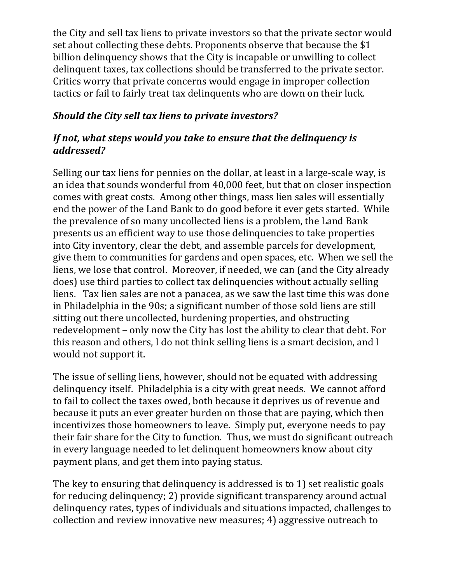the City and sell tax liens to private investors so that the private sector would set about collecting these debts. Proponents observe that because the \$1 billion delinquency shows that the City is incapable or unwilling to collect delinquent taxes, tax collections should be transferred to the private sector. Critics worry that private concerns would engage in improper collection tactics or fail to fairly treat tax delinquents who are down on their luck.

#### **Should the City sell tax liens to private investors?**

#### *If not, what steps would you take to ensure that the delinguency is addressed?*

Selling our tax liens for pennies on the dollar, at least in a large-scale way, is an idea that sounds wonderful from 40,000 feet, but that on closer inspection comes with great costs. Among other things, mass lien sales will essentially end the power of the Land Bank to do good before it ever gets started. While the prevalence of so many uncollected liens is a problem, the Land Bank presents us an efficient way to use those delinguencies to take properties into City inventory, clear the debt, and assemble parcels for development, give them to communities for gardens and open spaces, etc. When we sell the liens, we lose that control. Moreover, if needed, we can (and the City already does) use third parties to collect tax delinguencies without actually selling liens. Tax lien sales are not a panacea, as we saw the last time this was done in Philadelphia in the 90s; a significant number of those sold liens are still sitting out there uncollected, burdening properties, and obstructing redevelopment – only now the City has lost the ability to clear that debt. For this reason and others, I do not think selling liens is a smart decision, and I would not support it.

The issue of selling liens, however, should not be equated with addressing delinquency itself. Philadelphia is a city with great needs. We cannot afford to fail to collect the taxes owed, both because it deprives us of revenue and because it puts an ever greater burden on those that are paying, which then incentivizes those homeowners to leave. Simply put, everyone needs to pay their fair share for the City to function. Thus, we must do significant outreach in every language needed to let delinquent homeowners know about city payment plans, and get them into paying status.

The key to ensuring that delinguency is addressed is to 1) set realistic goals for reducing delinquency; 2) provide significant transparency around actual delinquency rates, types of individuals and situations impacted, challenges to collection and review innovative new measures; 4) aggressive outreach to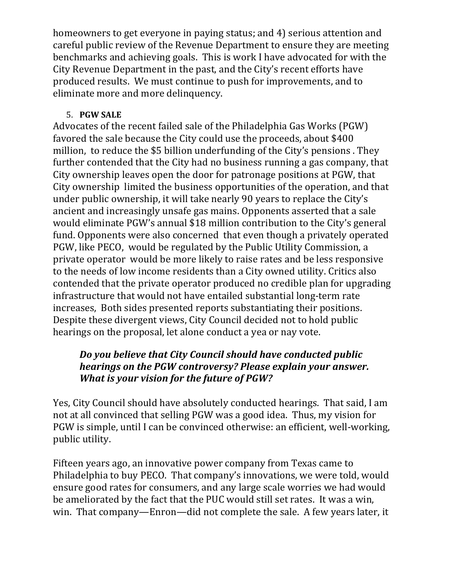homeowners to get everyone in paying status; and 4) serious attention and careful public review of the Revenue Department to ensure they are meeting benchmarks and achieving goals. This is work I have advocated for with the City Revenue Department in the past, and the City's recent efforts have produced results. We must continue to push for improvements, and to eliminate more and more delinquency.

#### 5. **PGW SALE**

Advocates of the recent failed sale of the Philadelphia Gas Works (PGW) favored the sale because the City could use the proceeds, about \$400 million, to reduce the \$5 billion underfunding of the City's pensions. They further contended that the City had no business running a gas company, that City ownership leaves open the door for patronage positions at PGW, that City ownership limited the business opportunities of the operation, and that under public ownership, it will take nearly 90 years to replace the City's ancient and increasingly unsafe gas mains. Opponents asserted that a sale would eliminate PGW's annual \$18 million contribution to the City's general fund. Opponents were also concerned that even though a privately operated PGW, like PECO, would be regulated by the Public Utility Commission, a private operator would be more likely to raise rates and be less responsive to the needs of low income residents than a City owned utility. Critics also contended that the private operator produced no credible plan for upgrading infrastructure that would not have entailed substantial long-term rate increases, Both sides presented reports substantiating their positions. Despite these divergent views, City Council decided not to hold public hearings on the proposal, let alone conduct a yea or nay vote.

## *Do you believe that City Council should have conducted public hearings on the PGW controversy? Please explain your answer. What is your vision for the future of PGW?*

Yes, City Council should have absolutely conducted hearings. That said, I am not at all convinced that selling PGW was a good idea. Thus, my vision for PGW is simple, until I can be convinced otherwise: an efficient, well-working, public utility.

Fifteen years ago, an innovative power company from Texas came to Philadelphia to buy PECO. That company's innovations, we were told, would ensure good rates for consumers, and any large scale worries we had would be ameliorated by the fact that the PUC would still set rates. It was a win, win. That company—Enron—did not complete the sale. A few years later, it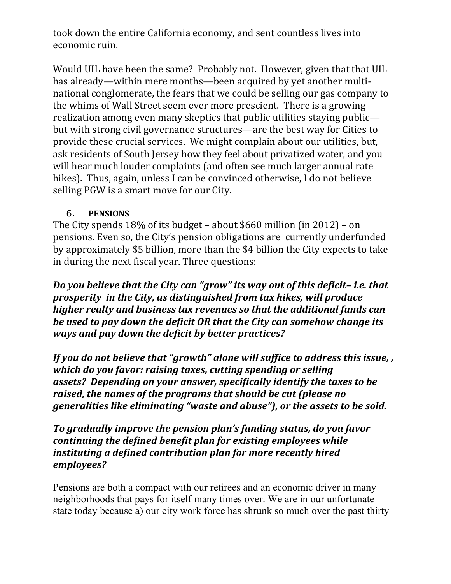took down the entire California economy, and sent countless lives into economic ruin.

Would UIL have been the same? Probably not. However, given that that UIL has already—within mere months—been acquired by yet another multinational conglomerate, the fears that we could be selling our gas company to the whims of Wall Street seem ever more prescient. There is a growing realization among even many skeptics that public utilities staying public but with strong civil governance structures—are the best way for Cities to provide these crucial services. We might complain about our utilities, but, ask residents of South Jersey how they feel about privatized water, and you will hear much louder complaints (and often see much larger annual rate hikes). Thus, again, unless I can be convinced otherwise, I do not believe selling PGW is a smart move for our City.

#### 6. **PENSIONS**

The City spends  $18\%$  of its budget – about \$660 million (in 2012) – on pensions. Even so, the City's pension obligations are currently underfunded by approximately \$5 billion, more than the \$4 billion the City expects to take in during the next fiscal year. Three questions:

*Do you believe that the City can "grow" its way out of this deficit-i.e. that prosperity in the City, as distinguished from tax hikes, will produce higher realty and business tax revenues so that the additional funds can be used to pay down the deficit OR that the City can somehow change its ways and pay down the deficit by better practices?* 

*If you do not believe that "growth" alone will suffice to address this issue,, which do you favor: raising taxes, cutting spending or selling assets?* Depending on your answer, specifically identify the taxes to be raised, the names of the programs that should be cut (please no *generalities like eliminating* "waste and abuse"), or the assets to be sold.

#### To gradually improve the pension plan's funding status, do you favor *continuing the defined benefit plan for existing employees while instituting a defined contribution plan for more recently hired employees?*

Pensions are both a compact with our retirees and an economic driver in many neighborhoods that pays for itself many times over. We are in our unfortunate state today because a) our city work force has shrunk so much over the past thirty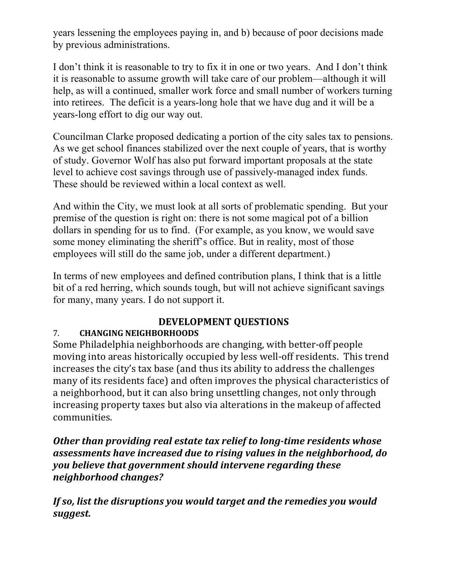years lessening the employees paying in, and b) because of poor decisions made by previous administrations.

I don't think it is reasonable to try to fix it in one or two years. And I don't think it is reasonable to assume growth will take care of our problem—although it will help, as will a continued, smaller work force and small number of workers turning into retirees. The deficit is a years-long hole that we have dug and it will be a years-long effort to dig our way out.

Councilman Clarke proposed dedicating a portion of the city sales tax to pensions. As we get school finances stabilized over the next couple of years, that is worthy of study. Governor Wolf has also put forward important proposals at the state level to achieve cost savings through use of passively-managed index funds. These should be reviewed within a local context as well.

And within the City, we must look at all sorts of problematic spending. But your premise of the question is right on: there is not some magical pot of a billion dollars in spending for us to find. (For example, as you know, we would save some money eliminating the sheriff's office. But in reality, most of those employees will still do the same job, under a different department.)

In terms of new employees and defined contribution plans, I think that is a little bit of a red herring, which sounds tough, but will not achieve significant savings for many, many years. I do not support it.

# **DEVELOPMENT QUESTIONS**

# 7. **CHANGING NEIGHBORHOODS**

Some Philadelphia neighborhoods are changing, with better-off people moving into areas historically occupied by less well-off residents. This trend increases the city's tax base (and thus its ability to address the challenges many of its residents face) and often improves the physical characteristics of a neighborhood, but it can also bring unsettling changes, not only through increasing property taxes but also via alterations in the makeup of affected communities. 

**Other than providing real estate tax relief to long-time residents whose** *assessments have increased due to rising values in the neighborhood, do you believe that government should intervene regarding these neighborhood changes?*

*If* so, list the disruptions you would target and the remedies you would *suggest.*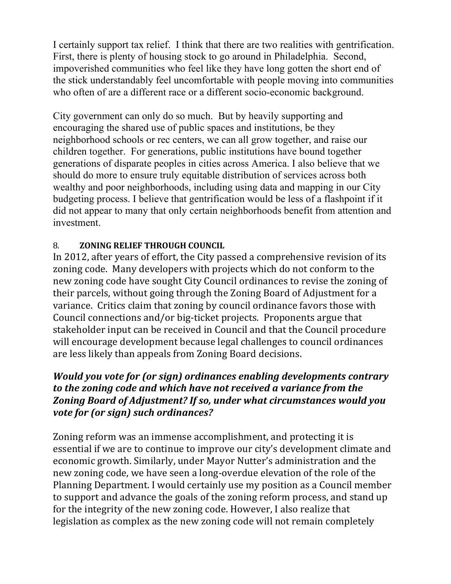I certainly support tax relief. I think that there are two realities with gentrification. First, there is plenty of housing stock to go around in Philadelphia. Second, impoverished communities who feel like they have long gotten the short end of the stick understandably feel uncomfortable with people moving into communities who often of are a different race or a different socio-economic background.

City government can only do so much. But by heavily supporting and encouraging the shared use of public spaces and institutions, be they neighborhood schools or rec centers, we can all grow together, and raise our children together. For generations, public institutions have bound together generations of disparate peoples in cities across America. I also believe that we should do more to ensure truly equitable distribution of services across both wealthy and poor neighborhoods, including using data and mapping in our City budgeting process. I believe that gentrification would be less of a flashpoint if it did not appear to many that only certain neighborhoods benefit from attention and investment.

#### 8. **ZONING RELIEF THROUGH COUNCIL**

In 2012, after years of effort, the City passed a comprehensive revision of its zoning code. Many developers with projects which do not conform to the new zoning code have sought City Council ordinances to revise the zoning of their parcels, without going through the Zoning Board of Adjustment for a variance. Critics claim that zoning by council ordinance favors those with Council connections and/or big-ticket projects. Proponents argue that stakeholder input can be received in Council and that the Council procedure will encourage development because legal challenges to council ordinances are less likely than appeals from Zoning Board decisions.

## *Would you vote for (or sign)* ordinances enabling developments contrary *to the zoning code and which have not received a variance from the* **Zoning Board of Adjustment? If so, under what circumstances would you** *vote for (or sign)* such ordinances?

Zoning reform was an immense accomplishment, and protecting it is essential if we are to continue to improve our city's development climate and economic growth. Similarly, under Mayor Nutter's administration and the new zoning code, we have seen a long-overdue elevation of the role of the Planning Department. I would certainly use my position as a Council member to support and advance the goals of the zoning reform process, and stand up for the integrity of the new zoning code. However, I also realize that legislation as complex as the new zoning code will not remain completely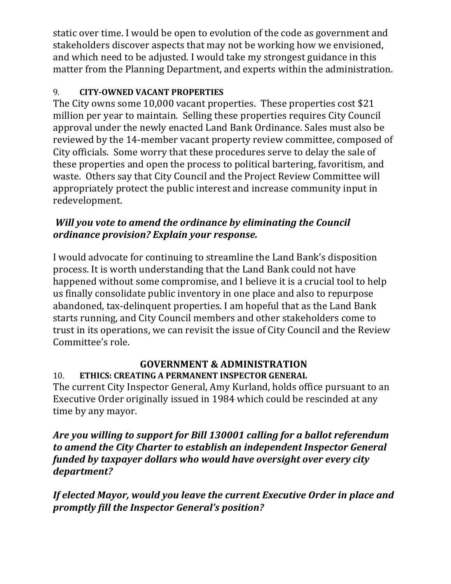static over time. I would be open to evolution of the code as government and stakeholders discover aspects that may not be working how we envisioned, and which need to be adjusted. I would take my strongest guidance in this matter from the Planning Department, and experts within the administration.

#### 9. **CITY-OWNED VACANT PROPERTIES**

The City owns some 10,000 vacant properties. These properties cost \$21 million per vear to maintain. Selling these properties requires City Council approval under the newly enacted Land Bank Ordinance. Sales must also be reviewed by the 14-member vacant property review committee, composed of City officials. Some worry that these procedures serve to delay the sale of these properties and open the process to political bartering, favoritism, and waste. Others say that City Council and the Project Review Committee will appropriately protect the public interest and increase community input in redevelopment.

# *Will you vote to amend the ordinance by eliminating the Council ordinance provision? Explain your response.*

I would advocate for continuing to streamline the Land Bank's disposition process. It is worth understanding that the Land Bank could not have happened without some compromise, and I believe it is a crucial tool to help us finally consolidate public inventory in one place and also to repurpose abandoned, tax-delinquent properties. I am hopeful that as the Land Bank starts running, and City Council members and other stakeholders come to trust in its operations, we can revisit the issue of City Council and the Review Committee's role.

# **GOVERNMENT & ADMINISTRATION**

10. **ETHICS: CREATING A PERMANENT INSPECTOR GENERAL** The current City Inspector General, Amy Kurland, holds office pursuant to an Executive Order originally issued in 1984 which could be rescinded at any time by any mayor.

*Are you willing to support for Bill 130001 calling for a ballot referendum* to amend the City Charter to establish an independent Inspector General *funded by taxpayer dollars who would have oversight over every city department?* 

If elected Mayor, would you leave the current Executive Order in place and *promptly fill the Inspector General's position?*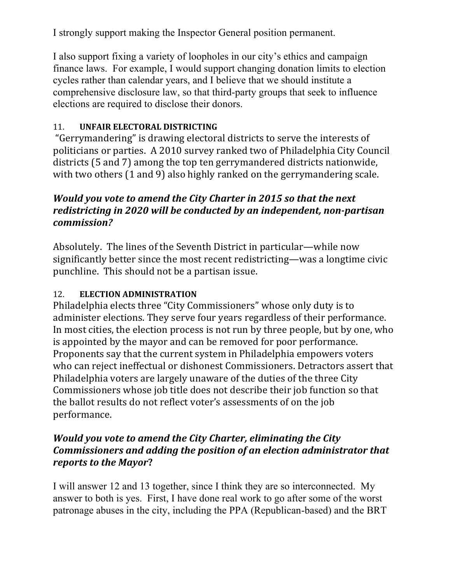I strongly support making the Inspector General position permanent.

I also support fixing a variety of loopholes in our city's ethics and campaign finance laws. For example, I would support changing donation limits to election cycles rather than calendar years, and I believe that we should institute a comprehensive disclosure law, so that third-party groups that seek to influence elections are required to disclose their donors.

#### 11. **UNFAIR ELECTORAL DISTRICTING**

"Gerrymandering" is drawing electoral districts to serve the interests of politicians or parties. A 2010 survey ranked two of Philadelphia City Council districts (5 and 7) among the top ten gerrymandered districts nationwide, with two others  $(1 \text{ and } 9)$  also highly ranked on the gerrymandering scale.

# *Would you vote to amend the City Charter in 2015 so that the next redistricting in 2020 will be conducted by an independent, non-partisan commission?*

Absolutely. The lines of the Seventh District in particular—while now significantly better since the most recent redistricting—was a longtime civic punchline. This should not be a partisan issue.

## 12. **ELECTION ADMINISTRATION**

Philadelphia elects three "City Commissioners" whose only duty is to administer elections. They serve four years regardless of their performance. In most cities, the election process is not run by three people, but by one, who is appointed by the mayor and can be removed for poor performance. Proponents say that the current system in Philadelphia empowers voters who can reject ineffectual or dishonest Commissioners. Detractors assert that Philadelphia voters are largely unaware of the duties of the three City Commissioners whose job title does not describe their job function so that the ballot results do not reflect voter's assessments of on the job performance. 

#### *Would you vote to amend the City Charter, eliminating the City Commissioners and adding the position of an election administrator that* reports to the Mayor?

I will answer 12 and 13 together, since I think they are so interconnected. My answer to both is yes. First, I have done real work to go after some of the worst patronage abuses in the city, including the PPA (Republican-based) and the BRT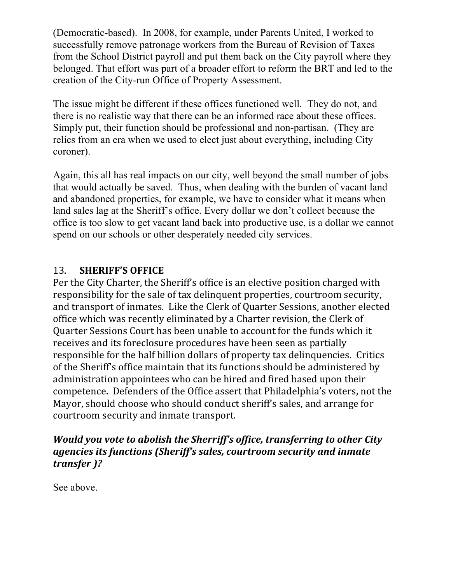(Democratic-based). In 2008, for example, under Parents United, I worked to successfully remove patronage workers from the Bureau of Revision of Taxes from the School District payroll and put them back on the City payroll where they belonged. That effort was part of a broader effort to reform the BRT and led to the creation of the City-run Office of Property Assessment.

The issue might be different if these offices functioned well. They do not, and there is no realistic way that there can be an informed race about these offices. Simply put, their function should be professional and non-partisan. (They are relics from an era when we used to elect just about everything, including City coroner).

Again, this all has real impacts on our city, well beyond the small number of jobs that would actually be saved. Thus, when dealing with the burden of vacant land and abandoned properties, for example, we have to consider what it means when land sales lag at the Sheriff's office. Every dollar we don't collect because the office is too slow to get vacant land back into productive use, is a dollar we cannot spend on our schools or other desperately needed city services.

#### 13. **SHERIFF'S OFFICE**

Per the City Charter, the Sheriff's office is an elective position charged with responsibility for the sale of tax delinquent properties, courtroom security, and transport of inmates. Like the Clerk of Quarter Sessions, another elected office which was recently eliminated by a Charter revision, the Clerk of Quarter Sessions Court has been unable to account for the funds which it receives and its foreclosure procedures have been seen as partially responsible for the half billion dollars of property tax delinquencies. Critics of the Sheriff's office maintain that its functions should be administered by administration appointees who can be hired and fired based upon their competence. Defenders of the Office assert that Philadelphia's voters, not the Mayor, should choose who should conduct sheriff's sales, and arrange for courtroom security and inmate transport.

#### *Would you vote to abolish the Sherriff's office, transferring to other City agencies its functions (Sheriff's sales, courtroom security and inmate transfer )?*

See above.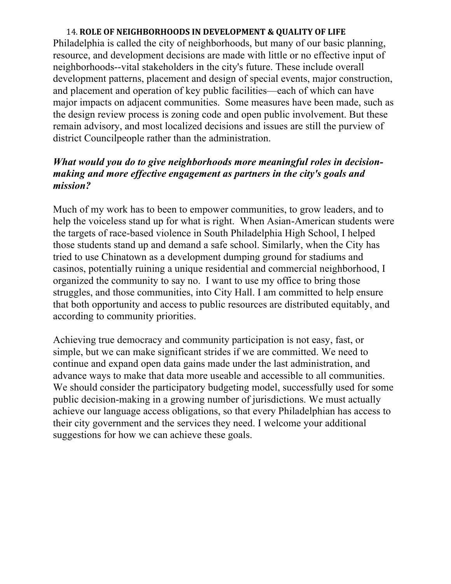#### 14. ROLE OF NEIGHBORHOODS IN DEVELOPMENT & QUALITY OF LIFE

Philadelphia is called the city of neighborhoods, but many of our basic planning, resource, and development decisions are made with little or no effective input of neighborhoods--vital stakeholders in the city's future. These include overall development patterns, placement and design of special events, major construction, and placement and operation of key public facilities—each of which can have major impacts on adjacent communities. Some measures have been made, such as the design review process is zoning code and open public involvement. But these remain advisory, and most localized decisions and issues are still the purview of district Councilpeople rather than the administration.

#### *What would you do to give neighborhoods more meaningful roles in decisionmaking and more effective engagement as partners in the city's goals and mission?*

Much of my work has to been to empower communities, to grow leaders, and to help the voiceless stand up for what is right. When Asian-American students were the targets of race-based violence in South Philadelphia High School, I helped those students stand up and demand a safe school. Similarly, when the City has tried to use Chinatown as a development dumping ground for stadiums and casinos, potentially ruining a unique residential and commercial neighborhood, I organized the community to say no. I want to use my office to bring those struggles, and those communities, into City Hall. I am committed to help ensure that both opportunity and access to public resources are distributed equitably, and according to community priorities.

Achieving true democracy and community participation is not easy, fast, or simple, but we can make significant strides if we are committed. We need to continue and expand open data gains made under the last administration, and advance ways to make that data more useable and accessible to all communities. We should consider the participatory budgeting model, successfully used for some public decision-making in a growing number of jurisdictions. We must actually achieve our language access obligations, so that every Philadelphian has access to their city government and the services they need. I welcome your additional suggestions for how we can achieve these goals.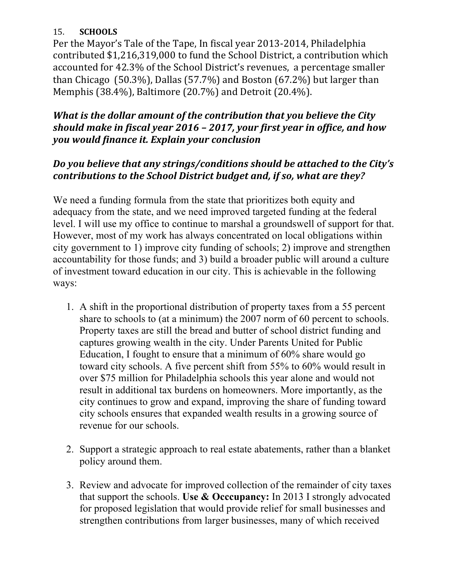#### 15. **SCHOOLS**

Per the Mayor's Tale of the Tape, In fiscal year 2013-2014, Philadelphia contributed \$1,216,319,000 to fund the School District, a contribution which accounted for 42.3% of the School District's revenues, a percentage smaller than Chicago  $(50.3\%)$ , Dallas  $(57.7\%)$  and Boston  $(67.2\%)$  but larger than Memphis  $(38.4\%)$ , Baltimore  $(20.7\%)$  and Detroit  $(20.4\%)$ .

## *What is the dollar amount of the contribution that you believe the City should make in fiscal year 2016 - 2017, your first year in office, and how you would finance it. Explain your conclusion*

## *Do* you believe that any strings/conditions should be attached to the City's *contributions to the School District budget and, if so, what are they?*

We need a funding formula from the state that prioritizes both equity and adequacy from the state, and we need improved targeted funding at the federal level. I will use my office to continue to marshal a groundswell of support for that. However, most of my work has always concentrated on local obligations within city government to 1) improve city funding of schools; 2) improve and strengthen accountability for those funds; and 3) build a broader public will around a culture of investment toward education in our city. This is achievable in the following ways:

- 1. A shift in the proportional distribution of property taxes from a 55 percent share to schools to (at a minimum) the 2007 norm of 60 percent to schools. Property taxes are still the bread and butter of school district funding and captures growing wealth in the city. Under Parents United for Public Education, I fought to ensure that a minimum of 60% share would go toward city schools. A five percent shift from 55% to 60% would result in over \$75 million for Philadelphia schools this year alone and would not result in additional tax burdens on homeowners. More importantly, as the city continues to grow and expand, improving the share of funding toward city schools ensures that expanded wealth results in a growing source of revenue for our schools.
- 2. Support a strategic approach to real estate abatements, rather than a blanket policy around them.
- 3. Review and advocate for improved collection of the remainder of city taxes that support the schools. **Use & Occcupancy:** In 2013 I strongly advocated for proposed legislation that would provide relief for small businesses and strengthen contributions from larger businesses, many of which received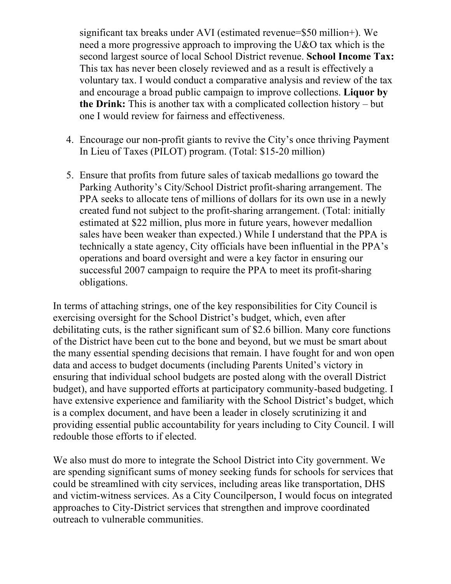significant tax breaks under AVI (estimated revenue=\$50 million+). We need a more progressive approach to improving the U&O tax which is the second largest source of local School District revenue. **School Income Tax:**  This tax has never been closely reviewed and as a result is effectively a voluntary tax. I would conduct a comparative analysis and review of the tax and encourage a broad public campaign to improve collections. **Liquor by the Drink:** This is another tax with a complicated collection history – but one I would review for fairness and effectiveness.

- 4. Encourage our non-profit giants to revive the City's once thriving Payment In Lieu of Taxes (PILOT) program. (Total: \$15-20 million)
- 5. Ensure that profits from future sales of taxicab medallions go toward the Parking Authority's City/School District profit-sharing arrangement. The PPA seeks to allocate tens of millions of dollars for its own use in a newly created fund not subject to the profit-sharing arrangement. (Total: initially estimated at \$22 million, plus more in future years, however medallion sales have been weaker than expected.) While I understand that the PPA is technically a state agency, City officials have been influential in the PPA's operations and board oversight and were a key factor in ensuring our successful 2007 campaign to require the PPA to meet its profit-sharing obligations.

In terms of attaching strings, one of the key responsibilities for City Council is exercising oversight for the School District's budget, which, even after debilitating cuts, is the rather significant sum of \$2.6 billion. Many core functions of the District have been cut to the bone and beyond, but we must be smart about the many essential spending decisions that remain. I have fought for and won open data and access to budget documents (including Parents United's victory in ensuring that individual school budgets are posted along with the overall District budget), and have supported efforts at participatory community-based budgeting. I have extensive experience and familiarity with the School District's budget, which is a complex document, and have been a leader in closely scrutinizing it and providing essential public accountability for years including to City Council. I will redouble those efforts to if elected.

We also must do more to integrate the School District into City government. We are spending significant sums of money seeking funds for schools for services that could be streamlined with city services, including areas like transportation, DHS and victim-witness services. As a City Councilperson, I would focus on integrated approaches to City-District services that strengthen and improve coordinated outreach to vulnerable communities.